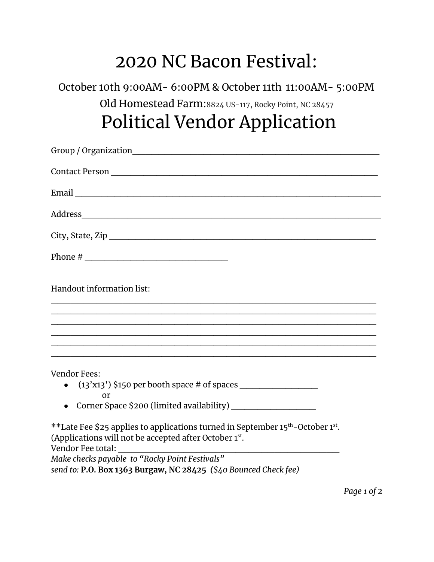## 2020 NC Bacon Festival:

October 10th 9:00AM- 6:00PM & October 11th 11:00AM- 5:00PM Old Homestead Farm:8824 US-117, Rocky Point, NC 28457 Political Vendor Application

| Handout information list:                                                                                                                                                             |
|---------------------------------------------------------------------------------------------------------------------------------------------------------------------------------------|
| ,我们也不能在这里的时候,我们也不能在这里的时候,我们也不能会在这里的时候,我们也不能会在这里的时候,我们也不能会在这里的时候,我们也不能会在这里的时候,我们也<br>,我们也不能在这里的时候,我们也不能在这里的时候,我们也不能会在这里的时候,我们也不能会在这里的时候,我们也不能会在这里的时候,我们也不能会在这里的时候,我们也                  |
| <u>. La provincia de la provincia de la provincia de la provincia de la provincia de la provincia de la provincia</u>                                                                 |
| <b>Vendor Fees:</b>                                                                                                                                                                   |
|                                                                                                                                                                                       |
| or                                                                                                                                                                                    |
| **Late Fee \$25 applies to applications turned in September 15 <sup>th</sup> -October 1 <sup>st</sup> .<br>(Applications will not be accepted after October 1st.<br>Vendor Fee total: |
| Make checks payable to "Rocky Point Festivals"                                                                                                                                        |
| send to: P.O. Box 1363 Burgaw, NC 28425 (\$40 Bounced Check fee)                                                                                                                      |